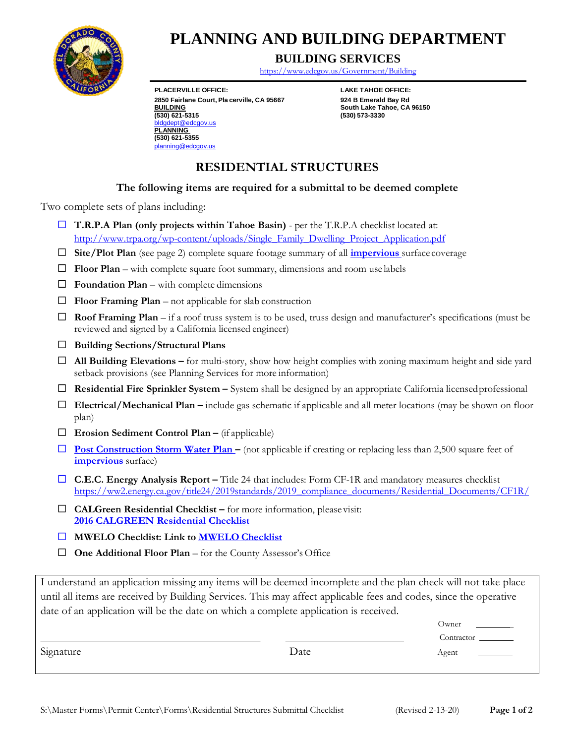

# **PLANN ING AND BUILDING DEPARTMENT**

### **BUILDING SERVICES**

<https://www.edcgov.us/Government/Building>

**PLACERVILLE OFFICE: 2850 Fairlane Court, Pla BUILDING (530) 621-5315** ept@edcgov.us **PLANNING (530) 621-5355** [planning@edcgov.us](mailto:planning@edcgov.us)

**LAKE TAHOE OFFICE: cerville, CA 95667 924 B Emerald Bay Rd South Lake Tahoe, CA 96150 (530) 573-3330**

# **RESIDENTIAL STRUCTURES**

#### **The following items are required for a submittal to be deemed complete**

Two complete sets of plans including:

- **T.R.P.A Plan (only projects within Tahoe Basin)**  per the T.R.P.A checklist located at: [http://www.trpa.org/wp-content/uploads/Single\\_Family\\_Dwelling\\_Project\\_Application.pdf](http://www.trpa.org/wp-content/uploads/Single_Family_Dwelling_Project_Application.pdf)
- **Site/Plot Plan** (see page 2) complete square footage summary of all **[impervious](https://www.edcgov.us/Government/longrangeplanning/StormWaterManagement/documents/impervious%20def.pdf)** surface coverage
- **Floor Plan**  with complete square foot summary, dimensions and room use labels
- $\Box$  **Foundation Plan** with complete dimensions
- $\Box$  **Floor Framing Plan** not applicable for slab construction
- **Roof Framing Plan**  if a roof truss system is to be used, truss design and manufacturer's specifications (must be reviewed and signed by a California licensed engineer)
- **Building Sections/Structural Plans**
- **All Building Elevations –** for multi-story, show how height complies with zoning maximum height and side yard setback provisions (see Planning Services for more information)
- **Residential Fire Sprinkler System –** System shall be designed by an appropriate California licensedprofessional
- **Electrical/Mechanical Plan –** include gas schematic if applicable and all meter locations (may be shown on floor plan)
- **Erosion Sediment Control Plan –** (if applicable)
- □ **Post Construction Storm Water Plan** (not applicable if creating or replacing less than 2,500 square feet of **[impervious](https://www.edcgov.us/Government/TPS/StormWaterManagement/documents/impervious%20def.pdf)** surface)
- **□ C.E.C. Energy Analysis Report** Title 24 that includes: Form CF-1R and mandatory measures checklist [https://ww2.energy.ca.gov/title24/2019standards/2019\\_compliance\\_documents/Residential\\_Documents/CF1R/](https://ww2.energy.ca.gov/title24/2019standards/2019_compliance_documents/Residential_Documents/CF1R/)
- **CALGreen Residential Checklist –** for more information, please visit: **[2016 CALGREEN Residential Checklist](https://www.edcgov.us/Government/building/Documents/Plan%20Review%202016%20New%20Residential%20Green%20Code.pdf)**
- **MWELO Checklist: Link to [MWELO](https://www.edcgov.us/Government/building/Documents/MWELO%20Submittal%20Checklist.pdf) Checklist**
- □ **One Additional Floor Plan** for the County Assessor's Office

I understand an application missing any items will be deemed incomplete and the plan check will not take place until all items are received by Building Services. This may affect applicable fees and codes, since the operative date of an application will be the date on which a complete application is received.

|           |      | Owner<br><u>and the company of the company of the company of the company of the company of the company of the company of the company of the company of the company of the company of the company of the company of the company of the com</u> |
|-----------|------|-----------------------------------------------------------------------------------------------------------------------------------------------------------------------------------------------------------------------------------------------|
|           |      | Contractor                                                                                                                                                                                                                                    |
| Signature | Date | Agent<br>$\sim$ $\sim$ $\sim$ $\sim$ $\sim$ $\sim$ $\sim$                                                                                                                                                                                     |
|           |      |                                                                                                                                                                                                                                               |